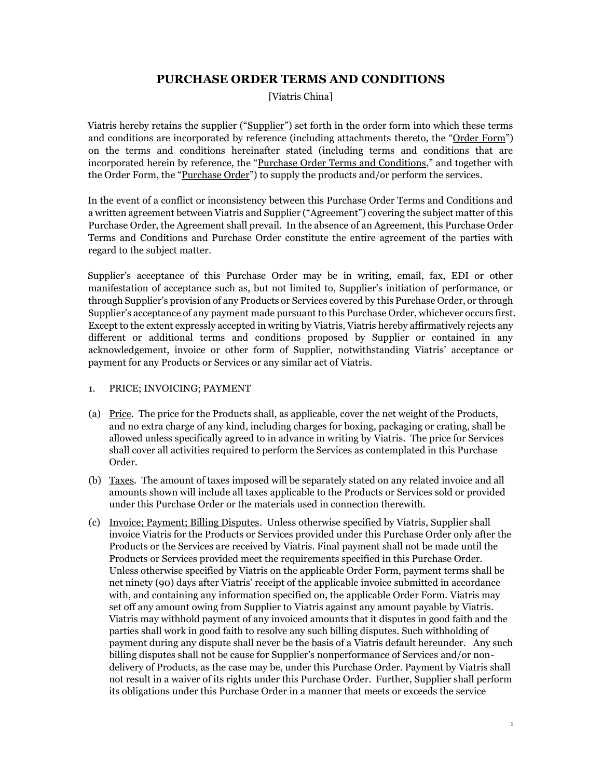# **PURCHASE ORDER TERMS AND CONDITIONS**

[Viatris China]

Viatris hereby retains the supplier ("Supplier") set forth in the order form into which these terms and conditions are incorporated by reference (including attachments thereto, the "Order Form") on the terms and conditions hereinafter stated (including terms and conditions that are incorporated herein by reference, the "Purchase Order Terms and Conditions," and together with the Order Form, the "Purchase Order") to supply the products and/or perform the services.

In the event of a conflict or inconsistency between this Purchase Order Terms and Conditions and a written agreement between Viatris and Supplier ("Agreement") covering the subject matter of this Purchase Order, the Agreement shall prevail. In the absence of an Agreement, this Purchase Order Terms and Conditions and Purchase Order constitute the entire agreement of the parties with regard to the subject matter.

Supplier's acceptance of this Purchase Order may be in writing, email, fax, EDI or other manifestation of acceptance such as, but not limited to, Supplier's initiation of performance, or through Supplier's provision of any Products or Services covered by this Purchase Order, or through Supplier's acceptance of any payment made pursuant to this Purchase Order, whichever occurs first. Except to the extent expressly accepted in writing by Viatris, Viatris hereby affirmatively rejects any different or additional terms and conditions proposed by Supplier or contained in any acknowledgement, invoice or other form of Supplier, notwithstanding Viatris' acceptance or payment for any Products or Services or any similar act of Viatris.

# 1. PRICE; INVOICING; PAYMENT

- (a) Price. The price for the Products shall, as applicable, cover the net weight of the Products, and no extra charge of any kind, including charges for boxing, packaging or crating, shall be allowed unless specifically agreed to in advance in writing by Viatris. The price for Services shall cover all activities required to perform the Services as contemplated in this Purchase Order.
- (b) Taxes. The amount of taxes imposed will be separately stated on any related invoice and all amounts shown will include all taxes applicable to the Products or Services sold or provided under this Purchase Order or the materials used in connection therewith.
- (c) Invoice; Payment; Billing Disputes. Unless otherwise specified by Viatris, Supplier shall invoice Viatris for the Products or Services provided under this Purchase Order only after the Products or the Services are received by Viatris. Final payment shall not be made until the Products or Services provided meet the requirements specified in this Purchase Order. Unless otherwise specified by Viatris on the applicable Order Form, payment terms shall be net ninety (90) days after Viatris' receipt of the applicable invoice submitted in accordance with, and containing any information specified on, the applicable Order Form. Viatris may set off any amount owing from Supplier to Viatris against any amount payable by Viatris. Viatris may withhold payment of any invoiced amounts that it disputes in good faith and the parties shall work in good faith to resolve any such billing disputes. Such withholding of payment during any dispute shall never be the basis of a Viatris default hereunder. Any such billing disputes shall not be cause for Supplier's nonperformance of Services and/or nondelivery of Products, as the case may be, under this Purchase Order. Payment by Viatris shall not result in a waiver of its rights under this Purchase Order. Further, Supplier shall perform its obligations under this Purchase Order in a manner that meets or exceeds the service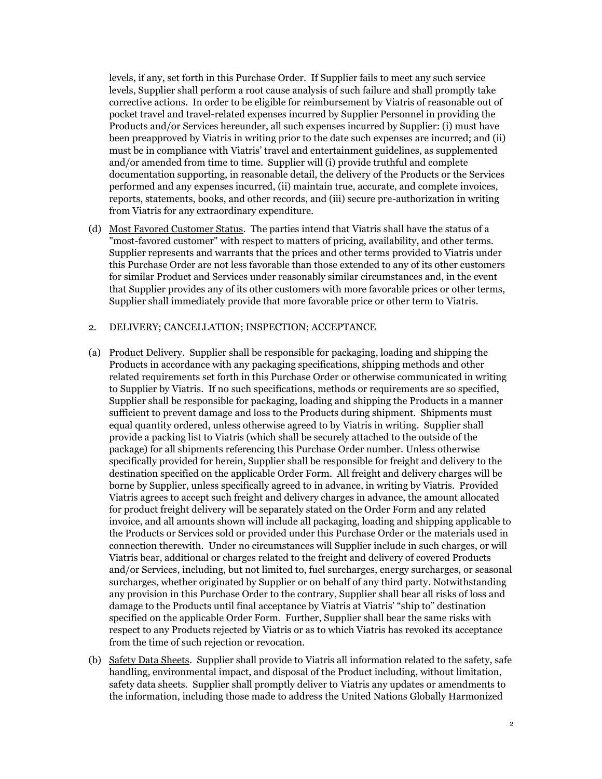levels, if any, set forth in this Purchase Order. If Supplier fails to meet any such service levels, Supplier shall perform a root cause analysis of such failure and shall promptly take corrective actions. In order to be eligible for reimbursement by Viatris of reasonable out of pocket travel and travel-related expenses incurred by Supplier Personnel in providing the Products and/or Services hereunder, all such expenses incurred by Supplier: (i) must have been preapproved by Viatris in writing prior to the date such expenses are incurred; and (ii) must be in compliance with Viatris' travel and entertainment guidelines, as supplemented and/or amended from time to time. Supplier will (i) provide truthful and complete documentation supporting, in reasonable detail, the delivery of the Products or the Services performed and any expenses incurred, (ii) maintain true, accurate, and complete invoices, reports, statements, books, and other records, and (iii) secure pre-authorization in writing from Viatris for any extraordinary expenditure.

(d) Most Favored Customer Status. The parties intend that Viatris shall have the status of a "most-favored customer" with respect to matters of pricing, availability, and other terms. Supplier represents and warrants that the prices and other terms provided to Viatris under this Purchase Order are not less favorable than those extended to any of its other customers for similar Product and Services under reasonably similar circumstances and, in the event that Supplier provides any of its other customers with more favorable prices or other terms, Supplier shall immediately provide that more favorable price or other term to Viatris.

### 2. DELIVERY; CANCELLATION; INSPECTION; ACCEPTANCE

- (a) Product Delivery. Supplier shall be responsible for packaging, loading and shipping the Products in accordance with any packaging specifications, shipping methods and other related requirements set forth in this Purchase Order or otherwise communicated in writing to Supplier by Viatris. If no such specifications, methods or requirements are so specified, Supplier shall be responsible for packaging, loading and shipping the Products in a manner sufficient to prevent damage and loss to the Products during shipment. Shipments must equal quantity ordered, unless otherwise agreed to by Viatris in writing. Supplier shall provide a packing list to Viatris (which shall be securely attached to the outside of the package) for all shipments referencing this Purchase Order number. Unless otherwise specifically provided for herein, Supplier shall be responsible for freight and delivery to the destination specified on the applicable Order Form. All freight and delivery charges will be borne by Supplier, unless specifically agreed to in advance, in writing by Viatris. Provided Viatris agrees to accept such freight and delivery charges in advance, the amount allocated for product freight delivery will be separately stated on the Order Form and any related invoice, and all amounts shown will include all packaging, loading and shipping applicable to the Products or Services sold or provided under this Purchase Order or the materials used in connection therewith. Under no circumstances will Supplier include in such charges, or will Viatris bear, additional or charges related to the freight and delivery of covered Products and/or Services, including, but not limited to, fuel surcharges, energy surcharges, or seasonal surcharges, whether originated by Supplier or on behalf of any third party. Notwithstanding any provision in this Purchase Order to the contrary, Supplier shall bear all risks of loss and damage to the Products until final acceptance by Viatris at Viatris' "ship to" destination specified on the applicable Order Form. Further, Supplier shall bear the same risks with respect to any Products rejected by Viatris or as to which Viatris has revoked its acceptance from the time of such rejection or revocation.
- (b) Safety Data Sheets. Supplier shall provide to Viatris all information related to the safety, safe handling, environmental impact, and disposal of the Product including, without limitation, safety data sheets. Supplier shall promptly deliver to Viatris any updates or amendments to the information, including those made to address the United Nations Globally Harmonized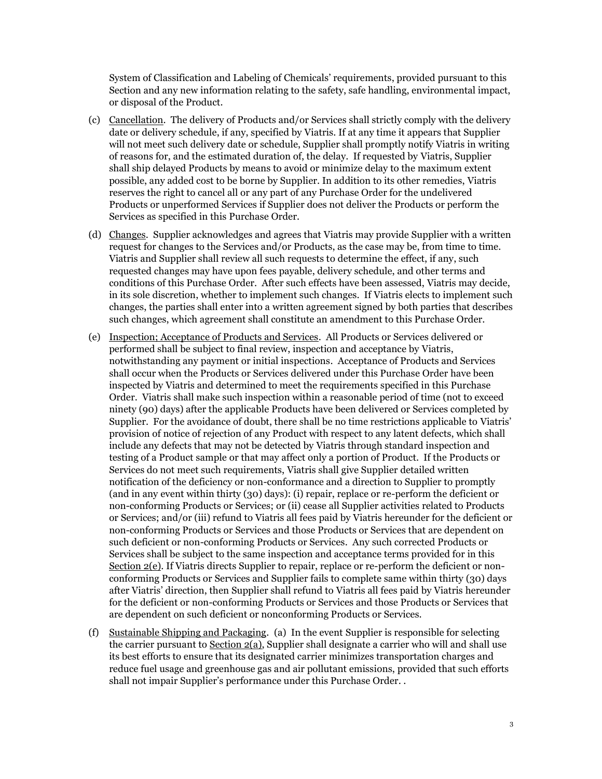System of Classification and Labeling of Chemicals' requirements, provided pursuant to this Section and any new information relating to the safety, safe handling, environmental impact, or disposal of the Product.

- (c) Cancellation. The delivery of Products and/or Services shall strictly comply with the delivery date or delivery schedule, if any, specified by Viatris. If at any time it appears that Supplier will not meet such delivery date or schedule, Supplier shall promptly notify Viatris in writing of reasons for, and the estimated duration of, the delay. If requested by Viatris, Supplier shall ship delayed Products by means to avoid or minimize delay to the maximum extent possible, any added cost to be borne by Supplier. In addition to its other remedies, Viatris reserves the right to cancel all or any part of any Purchase Order for the undelivered Products or unperformed Services if Supplier does not deliver the Products or perform the Services as specified in this Purchase Order.
- (d) Changes. Supplier acknowledges and agrees that Viatris may provide Supplier with a written request for changes to the Services and/or Products, as the case may be, from time to time. Viatris and Supplier shall review all such requests to determine the effect, if any, such requested changes may have upon fees payable, delivery schedule, and other terms and conditions of this Purchase Order. After such effects have been assessed, Viatris may decide, in its sole discretion, whether to implement such changes. If Viatris elects to implement such changes, the parties shall enter into a written agreement signed by both parties that describes such changes, which agreement shall constitute an amendment to this Purchase Order.
- (e) Inspection; Acceptance of Products and Services. All Products or Services delivered or performed shall be subject to final review, inspection and acceptance by Viatris, notwithstanding any payment or initial inspections. Acceptance of Products and Services shall occur when the Products or Services delivered under this Purchase Order have been inspected by Viatris and determined to meet the requirements specified in this Purchase Order. Viatris shall make such inspection within a reasonable period of time (not to exceed ninety (90) days) after the applicable Products have been delivered or Services completed by Supplier. For the avoidance of doubt, there shall be no time restrictions applicable to Viatris' provision of notice of rejection of any Product with respect to any latent defects, which shall include any defects that may not be detected by Viatris through standard inspection and testing of a Product sample or that may affect only a portion of Product. If the Products or Services do not meet such requirements, Viatris shall give Supplier detailed written notification of the deficiency or non-conformance and a direction to Supplier to promptly (and in any event within thirty (30) days): (i) repair, replace or re-perform the deficient or non-conforming Products or Services; or (ii) cease all Supplier activities related to Products or Services; and/or (iii) refund to Viatris all fees paid by Viatris hereunder for the deficient or non-conforming Products or Services and those Products or Services that are dependent on such deficient or non-conforming Products or Services. Any such corrected Products or Services shall be subject to the same inspection and acceptance terms provided for in this Section 2(e). If Viatris directs Supplier to repair, replace or re-perform the deficient or nonconforming Products or Services and Supplier fails to complete same within thirty (30) days after Viatris' direction, then Supplier shall refund to Viatris all fees paid by Viatris hereunder for the deficient or non-conforming Products or Services and those Products or Services that are dependent on such deficient or nonconforming Products or Services.
- (f) Sustainable Shipping and Packaging.(a) In the event Supplier is responsible for selecting the carrier pursuant to Section 2(a), Supplier shall designate a carrier who will and shall use its best efforts to ensure that its designated carrier minimizes transportation charges and reduce fuel usage and greenhouse gas and air pollutant emissions, provided that such efforts shall not impair Supplier's performance under this Purchase Order. .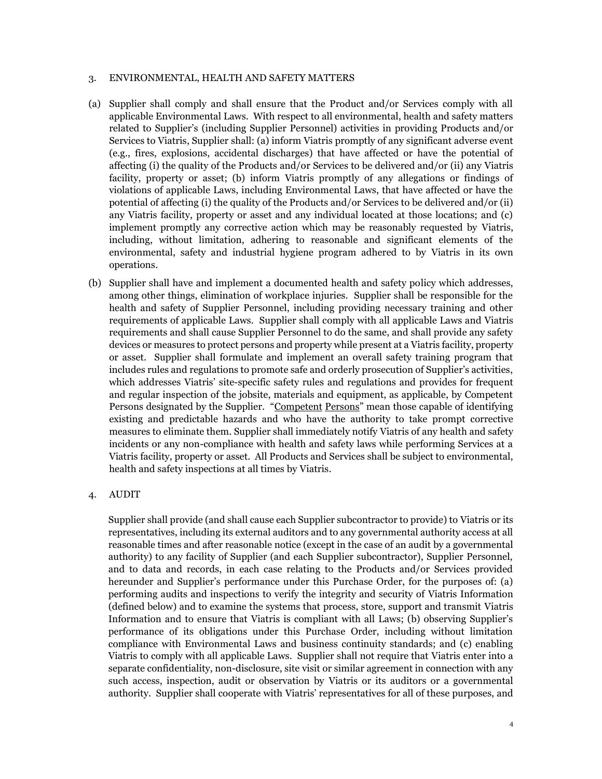#### 3. ENVIRONMENTAL, HEALTH AND SAFETY MATTERS

- (a) Supplier shall comply and shall ensure that the Product and/or Services comply with all applicable Environmental Laws. With respect to all environmental, health and safety matters related to Supplier's (including Supplier Personnel) activities in providing Products and/or Services to Viatris, Supplier shall: (a) inform Viatris promptly of any significant adverse event (e.g., fires, explosions, accidental discharges) that have affected or have the potential of affecting (i) the quality of the Products and/or Services to be delivered and/or (ii) any Viatris facility, property or asset; (b) inform Viatris promptly of any allegations or findings of violations of applicable Laws, including Environmental Laws, that have affected or have the potential of affecting (i) the quality of the Products and/or Services to be delivered and/or (ii) any Viatris facility, property or asset and any individual located at those locations; and (c) implement promptly any corrective action which may be reasonably requested by Viatris, including, without limitation, adhering to reasonable and significant elements of the environmental, safety and industrial hygiene program adhered to by Viatris in its own operations.
- (b) Supplier shall have and implement a documented health and safety policy which addresses, among other things, elimination of workplace injuries. Supplier shall be responsible for the health and safety of Supplier Personnel, including providing necessary training and other requirements of applicable Laws. Supplier shall comply with all applicable Laws and Viatris requirements and shall cause Supplier Personnel to do the same, and shall provide any safety devices or measures to protect persons and property while present at a Viatris facility, property or asset. Supplier shall formulate and implement an overall safety training program that includes rules and regulations to promote safe and orderly prosecution of Supplier's activities, which addresses Viatris' site-specific safety rules and regulations and provides for frequent and regular inspection of the jobsite, materials and equipment, as applicable, by Competent Persons designated by the Supplier. "Competent Persons" mean those capable of identifying existing and predictable hazards and who have the authority to take prompt corrective measures to eliminate them. Supplier shall immediately notify Viatris of any health and safety incidents or any non-compliance with health and safety laws while performing Services at a Viatris facility, property or asset. All Products and Services shall be subject to environmental, health and safety inspections at all times by Viatris.

# 4. AUDIT

Supplier shall provide (and shall cause each Supplier subcontractor to provide) to Viatris or its representatives, including its external auditors and to any governmental authority access at all reasonable times and after reasonable notice (except in the case of an audit by a governmental authority) to any facility of Supplier (and each Supplier subcontractor), Supplier Personnel, and to data and records, in each case relating to the Products and/or Services provided hereunder and Supplier's performance under this Purchase Order, for the purposes of: (a) performing audits and inspections to verify the integrity and security of Viatris Information (defined below) and to examine the systems that process, store, support and transmit Viatris Information and to ensure that Viatris is compliant with all Laws; (b) observing Supplier's performance of its obligations under this Purchase Order, including without limitation compliance with Environmental Laws and business continuity standards; and (c) enabling Viatris to comply with all applicable Laws. Supplier shall not require that Viatris enter into a separate confidentiality, non-disclosure, site visit or similar agreement in connection with any such access, inspection, audit or observation by Viatris or its auditors or a governmental authority. Supplier shall cooperate with Viatris' representatives for all of these purposes, and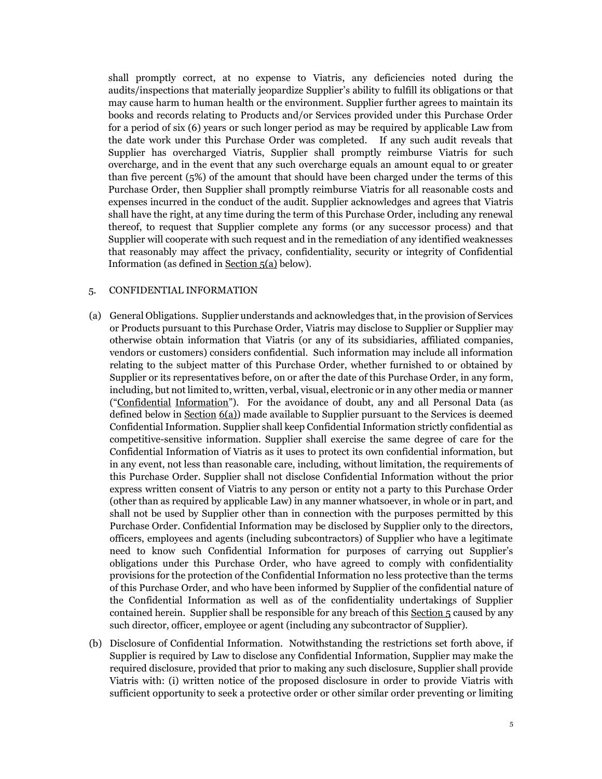shall promptly correct, at no expense to Viatris, any deficiencies noted during the audits/inspections that materially jeopardize Supplier's ability to fulfill its obligations or that may cause harm to human health or the environment. Supplier further agrees to maintain its books and records relating to Products and/or Services provided under this Purchase Order for a period of six (6) years or such longer period as may be required by applicable Law from the date work under this Purchase Order was completed. If any such audit reveals that Supplier has overcharged Viatris, Supplier shall promptly reimburse Viatris for such overcharge, and in the event that any such overcharge equals an amount equal to or greater than five percent (5%) of the amount that should have been charged under the terms of this Purchase Order, then Supplier shall promptly reimburse Viatris for all reasonable costs and expenses incurred in the conduct of the audit. Supplier acknowledges and agrees that Viatris shall have the right, at any time during the term of this Purchase Order, including any renewal thereof, to request that Supplier complete any forms (or any successor process) and that Supplier will cooperate with such request and in the remediation of any identified weaknesses that reasonably may affect the privacy, confidentiality, security or integrity of Confidential Information (as defined in Section 5(a) below).

#### 5. CONFIDENTIAL INFORMATION

- (a) General Obligations. Supplier understands and acknowledges that, in the provision of Services or Products pursuant to this Purchase Order, Viatris may disclose to Supplier or Supplier may otherwise obtain information that Viatris (or any of its subsidiaries, affiliated companies, vendors or customers) considers confidential. Such information may include all information relating to the subject matter of this Purchase Order, whether furnished to or obtained by Supplier or its representatives before, on or after the date of this Purchase Order, in any form, including, but not limited to, written, verbal, visual, electronic or in any other media or manner ("Confidential Information"). For the avoidance of doubt, any and all Personal Data (as defined below in Section  $6(a)$ ) made available to Supplier pursuant to the Services is deemed Confidential Information. Supplier shall keep Confidential Information strictly confidential as competitive-sensitive information. Supplier shall exercise the same degree of care for the Confidential Information of Viatris as it uses to protect its own confidential information, but in any event, not less than reasonable care, including, without limitation, the requirements of this Purchase Order. Supplier shall not disclose Confidential Information without the prior express written consent of Viatris to any person or entity not a party to this Purchase Order (other than as required by applicable Law) in any manner whatsoever, in whole or in part, and shall not be used by Supplier other than in connection with the purposes permitted by this Purchase Order. Confidential Information may be disclosed by Supplier only to the directors, officers, employees and agents (including subcontractors) of Supplier who have a legitimate need to know such Confidential Information for purposes of carrying out Supplier's obligations under this Purchase Order, who have agreed to comply with confidentiality provisions for the protection of the Confidential Information no less protective than the terms of this Purchase Order, and who have been informed by Supplier of the confidential nature of the Confidential Information as well as of the confidentiality undertakings of Supplier contained herein. Supplier shall be responsible for any breach of this Section 5 caused by any such director, officer, employee or agent (including any subcontractor of Supplier).
- (b) Disclosure of Confidential Information. Notwithstanding the restrictions set forth above, if Supplier is required by Law to disclose any Confidential Information, Supplier may make the required disclosure, provided that prior to making any such disclosure, Supplier shall provide Viatris with: (i) written notice of the proposed disclosure in order to provide Viatris with sufficient opportunity to seek a protective order or other similar order preventing or limiting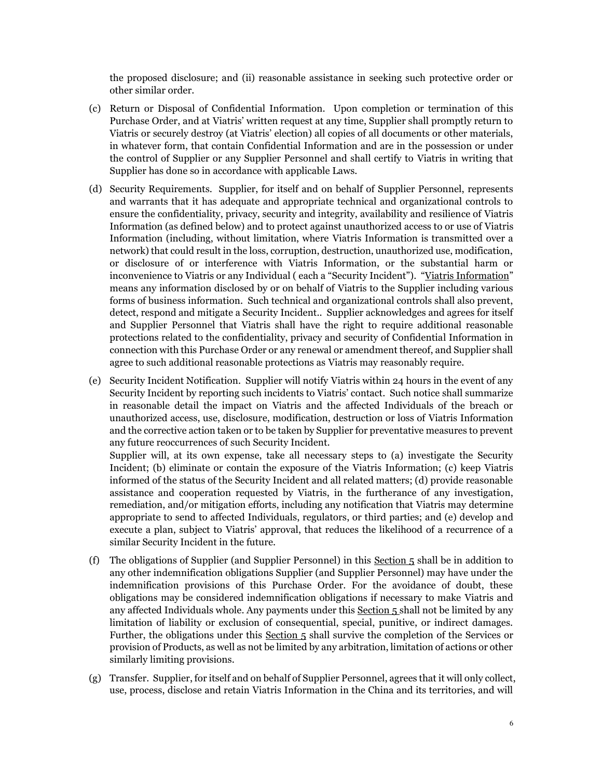the proposed disclosure; and (ii) reasonable assistance in seeking such protective order or other similar order.

- (c) Return or Disposal of Confidential Information. Upon completion or termination of this Purchase Order, and at Viatris' written request at any time, Supplier shall promptly return to Viatris or securely destroy (at Viatris' election) all copies of all documents or other materials, in whatever form, that contain Confidential Information and are in the possession or under the control of Supplier or any Supplier Personnel and shall certify to Viatris in writing that Supplier has done so in accordance with applicable Laws.
- (d) Security Requirements. Supplier, for itself and on behalf of Supplier Personnel, represents and warrants that it has adequate and appropriate technical and organizational controls to ensure the confidentiality, privacy, security and integrity, availability and resilience of Viatris Information (as defined below) and to protect against unauthorized access to or use of Viatris Information (including, without limitation, where Viatris Information is transmitted over a network) that could result in the loss, corruption, destruction, unauthorized use, modification, or disclosure of or interference with Viatris Information, or the substantial harm or inconvenience to Viatris or any Individual (each a "Security Incident"). "Viatris Information" means any information disclosed by or on behalf of Viatris to the Supplier including various forms of business information. Such technical and organizational controls shall also prevent, detect, respond and mitigate a Security Incident.. Supplier acknowledges and agrees for itself and Supplier Personnel that Viatris shall have the right to require additional reasonable protections related to the confidentiality, privacy and security of Confidential Information in connection with this Purchase Order or any renewal or amendment thereof, and Supplier shall agree to such additional reasonable protections as Viatris may reasonably require.
- (e) Security Incident Notification. Supplier will notify Viatris within 24 hours in the event of any Security Incident by reporting such incidents to Viatris' contact. Such notice shall summarize in reasonable detail the impact on Viatris and the affected Individuals of the breach or unauthorized access, use, disclosure, modification, destruction or loss of Viatris Information and the corrective action taken or to be taken by Supplier for preventative measures to prevent any future reoccurrences of such Security Incident.

Supplier will, at its own expense, take all necessary steps to (a) investigate the Security Incident; (b) eliminate or contain the exposure of the Viatris Information; (c) keep Viatris informed of the status of the Security Incident and all related matters; (d) provide reasonable assistance and cooperation requested by Viatris, in the furtherance of any investigation, remediation, and/or mitigation efforts, including any notification that Viatris may determine appropriate to send to affected Individuals, regulators, or third parties; and (e) develop and execute a plan, subject to Viatris' approval, that reduces the likelihood of a recurrence of a similar Security Incident in the future.

- (f) The obligations of Supplier (and Supplier Personnel) in this Section 5 shall be in addition to any other indemnification obligations Supplier (and Supplier Personnel) may have under the indemnification provisions of this Purchase Order. For the avoidance of doubt, these obligations may be considered indemnification obligations if necessary to make Viatris and any affected Individuals whole. Any payments under this Section  $5$  shall not be limited by any limitation of liability or exclusion of consequential, special, punitive, or indirect damages. Further, the obligations under this Section 5 shall survive the completion of the Services or provision of Products, as well as not be limited by any arbitration, limitation of actions or other similarly limiting provisions.
- (g) Transfer. Supplier, for itself and on behalf of Supplier Personnel, agrees that it will only collect, use, process, disclose and retain Viatris Information in the China and its territories, and will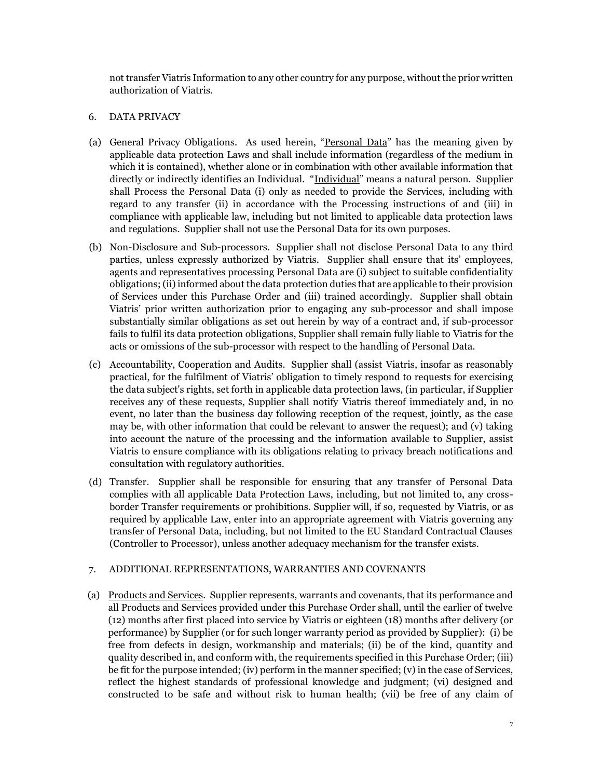not transfer Viatris Information to any other country for any purpose, without the prior written authorization of Viatris.

### 6. DATA PRIVACY

- (a) General Privacy Obligations. As used herein, "Personal Data" has the meaning given by applicable data protection Laws and shall include information (regardless of the medium in which it is contained), whether alone or in combination with other available information that directly or indirectly identifies an Individual. "Individual" means a natural person. Supplier shall Process the Personal Data (i) only as needed to provide the Services, including with regard to any transfer (ii) in accordance with the Processing instructions of and (iii) in compliance with applicable law, including but not limited to applicable data protection laws and regulations. Supplier shall not use the Personal Data for its own purposes.
- (b) Non-Disclosure and Sub-processors. Supplier shall not disclose Personal Data to any third parties, unless expressly authorized by Viatris. Supplier shall ensure that its' employees, agents and representatives processing Personal Data are (i) subject to suitable confidentiality obligations; (ii) informed about the data protection duties that are applicable to their provision of Services under this Purchase Order and (iii) trained accordingly. Supplier shall obtain Viatris' prior written authorization prior to engaging any sub-processor and shall impose substantially similar obligations as set out herein by way of a contract and, if sub-processor fails to fulfil its data protection obligations, Supplier shall remain fully liable to Viatris for the acts or omissions of the sub-processor with respect to the handling of Personal Data.
- (c) Accountability, Cooperation and Audits. Supplier shall (assist Viatris, insofar as reasonably practical, for the fulfilment of Viatris' obligation to timely respond to requests for exercising the data subject's rights, set forth in applicable data protection laws, (in particular, if Supplier receives any of these requests, Supplier shall notify Viatris thereof immediately and, in no event, no later than the business day following reception of the request, jointly, as the case may be, with other information that could be relevant to answer the request); and (v) taking into account the nature of the processing and the information available to Supplier, assist Viatris to ensure compliance with its obligations relating to privacy breach notifications and consultation with regulatory authorities.
- (d) Transfer. Supplier shall be responsible for ensuring that any transfer of Personal Data complies with all applicable Data Protection Laws, including, but not limited to, any crossborder Transfer requirements or prohibitions. Supplier will, if so, requested by Viatris, or as required by applicable Law, enter into an appropriate agreement with Viatris governing any transfer of Personal Data, including, but not limited to the EU Standard Contractual Clauses (Controller to Processor), unless another adequacy mechanism for the transfer exists.

# 7. ADDITIONAL REPRESENTATIONS, WARRANTIES AND COVENANTS

(a) Products and Services. Supplier represents, warrants and covenants, that its performance and all Products and Services provided under this Purchase Order shall, until the earlier of twelve (12) months after first placed into service by Viatris or eighteen (18) months after delivery (or performance) by Supplier (or for such longer warranty period as provided by Supplier): (i) be free from defects in design, workmanship and materials; (ii) be of the kind, quantity and quality described in, and conform with, the requirements specified in this Purchase Order; (iii) be fit for the purpose intended; (iv) perform in the manner specified; (v) in the case of Services, reflect the highest standards of professional knowledge and judgment; (vi) designed and constructed to be safe and without risk to human health; (vii) be free of any claim of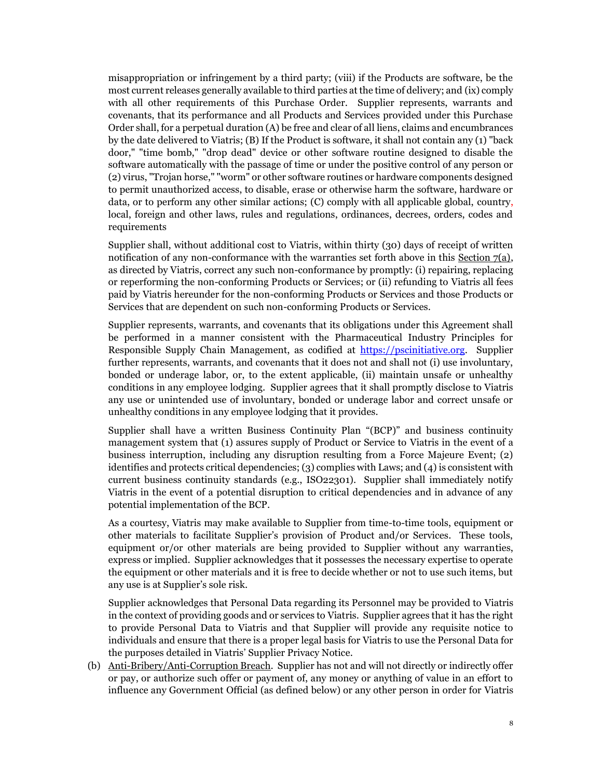misappropriation or infringement by a third party; (viii) if the Products are software, be the most current releases generally available to third parties at the time of delivery; and (ix) comply with all other requirements of this Purchase Order. Supplier represents, warrants and covenants, that its performance and all Products and Services provided under this Purchase Order shall, for a perpetual duration (A) be free and clear of all liens, claims and encumbrances by the date delivered to Viatris; (B) If the Product is software, it shall not contain any (1) "back door," "time bomb," "drop dead" device or other software routine designed to disable the software automatically with the passage of time or under the positive control of any person or (2) virus, "Trojan horse," "worm" or other software routines or hardware components designed to permit unauthorized access, to disable, erase or otherwise harm the software, hardware or data, or to perform any other similar actions; (C) comply with all applicable global, country, local, foreign and other laws, rules and regulations, ordinances, decrees, orders, codes and requirements

Supplier shall, without additional cost to Viatris, within thirty (30) days of receipt of written notification of any non-conformance with the warranties set forth above in this Section  $7(a)$ , as directed by Viatris, correct any such non-conformance by promptly: (i) repairing, replacing or reperforming the non-conforming Products or Services; or (ii) refunding to Viatris all fees paid by Viatris hereunder for the non-conforming Products or Services and those Products or Services that are dependent on such non-conforming Products or Services.

Supplier represents, warrants, and covenants that its obligations under this Agreement shall be performed in a manner consistent with the Pharmaceutical Industry Principles for Responsible Supply Chain Management, as codified at https://pscinitiative.org. Supplier further represents, warrants, and covenants that it does not and shall not (i) use involuntary, bonded or underage labor, or, to the extent applicable, (ii) maintain unsafe or unhealthy conditions in any employee lodging. Supplier agrees that it shall promptly disclose to Viatris any use or unintended use of involuntary, bonded or underage labor and correct unsafe or unhealthy conditions in any employee lodging that it provides.

Supplier shall have a written Business Continuity Plan "(BCP)" and business continuity management system that (1) assures supply of Product or Service to Viatris in the event of a business interruption, including any disruption resulting from a Force Majeure Event; (2) identifies and protects critical dependencies; (3) complies with Laws; and (4) is consistent with current business continuity standards (e.g., ISO22301). Supplier shall immediately notify Viatris in the event of a potential disruption to critical dependencies and in advance of any potential implementation of the BCP.

As a courtesy, Viatris may make available to Supplier from time-to-time tools, equipment or other materials to facilitate Supplier's provision of Product and/or Services. These tools, equipment or/or other materials are being provided to Supplier without any warranties, express or implied. Supplier acknowledges that it possesses the necessary expertise to operate the equipment or other materials and it is free to decide whether or not to use such items, but any use is at Supplier's sole risk.

Supplier acknowledges that Personal Data regarding its Personnel may be provided to Viatris in the context of providing goods and or services to Viatris. Supplier agrees that it has the right to provide Personal Data to Viatris and that Supplier will provide any requisite notice to individuals and ensure that there is a proper legal basis for Viatris to use the Personal Data for the purposes detailed in Viatris' Supplier Privacy Notice.

(b) Anti-Bribery/Anti-Corruption Breach. Supplier has not and will not directly or indirectly offer or pay, or authorize such offer or payment of, any money or anything of value in an effort to influence any Government Official (as defined below) or any other person in order for Viatris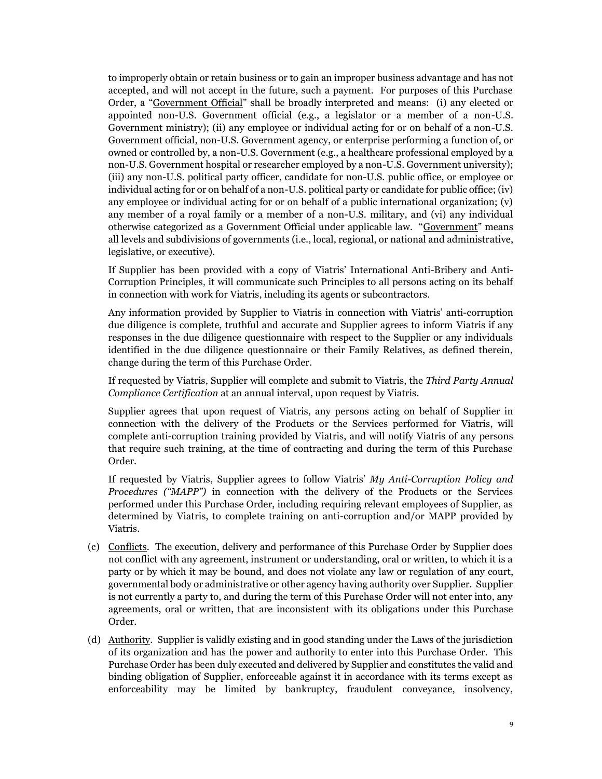to improperly obtain or retain business or to gain an improper business advantage and has not accepted, and will not accept in the future, such a payment. For purposes of this Purchase Order, a "Government Official" shall be broadly interpreted and means: (i) any elected or appointed non-U.S. Government official (e.g., a legislator or a member of a non-U.S. Government ministry); (ii) any employee or individual acting for or on behalf of a non-U.S. Government official, non-U.S. Government agency, or enterprise performing a function of, or owned or controlled by, a non-U.S. Government (e.g., a healthcare professional employed by a non-U.S. Government hospital or researcher employed by a non-U.S. Government university); (iii) any non-U.S. political party officer, candidate for non-U.S. public office, or employee or individual acting for or on behalf of a non-U.S. political party or candidate for public office; (iv) any employee or individual acting for or on behalf of a public international organization; (v) any member of a royal family or a member of a non-U.S. military, and (vi) any individual otherwise categorized as a Government Official under applicable law. "Government" means all levels and subdivisions of governments (i.e., local, regional, or national and administrative, legislative, or executive).

If Supplier has been provided with a copy of Viatris' International Anti-Bribery and Anti-Corruption Principles, it will communicate such Principles to all persons acting on its behalf in connection with work for Viatris, including its agents or subcontractors.

Any information provided by Supplier to Viatris in connection with Viatris' anti-corruption due diligence is complete, truthful and accurate and Supplier agrees to inform Viatris if any responses in the due diligence questionnaire with respect to the Supplier or any individuals identified in the due diligence questionnaire or their Family Relatives, as defined therein, change during the term of this Purchase Order.

If requested by Viatris, Supplier will complete and submit to Viatris, the *Third Party Annual Compliance Certification* at an annual interval, upon request by Viatris.

Supplier agrees that upon request of Viatris, any persons acting on behalf of Supplier in connection with the delivery of the Products or the Services performed for Viatris, will complete anti-corruption training provided by Viatris, and will notify Viatris of any persons that require such training, at the time of contracting and during the term of this Purchase Order.

If requested by Viatris, Supplier agrees to follow Viatris' *My Anti-Corruption Policy and Procedures ("MAPP")* in connection with the delivery of the Products or the Services performed under this Purchase Order, including requiring relevant employees of Supplier, as determined by Viatris, to complete training on anti-corruption and/or MAPP provided by Viatris.

- (c) Conflicts. The execution, delivery and performance of this Purchase Order by Supplier does not conflict with any agreement, instrument or understanding, oral or written, to which it is a party or by which it may be bound, and does not violate any law or regulation of any court, governmental body or administrative or other agency having authority over Supplier. Supplier is not currently a party to, and during the term of this Purchase Order will not enter into, any agreements, oral or written, that are inconsistent with its obligations under this Purchase Order.
- (d) Authority. Supplier is validly existing and in good standing under the Laws of the jurisdiction of its organization and has the power and authority to enter into this Purchase Order. This Purchase Order has been duly executed and delivered by Supplier and constitutes the valid and binding obligation of Supplier, enforceable against it in accordance with its terms except as enforceability may be limited by bankruptcy, fraudulent conveyance, insolvency,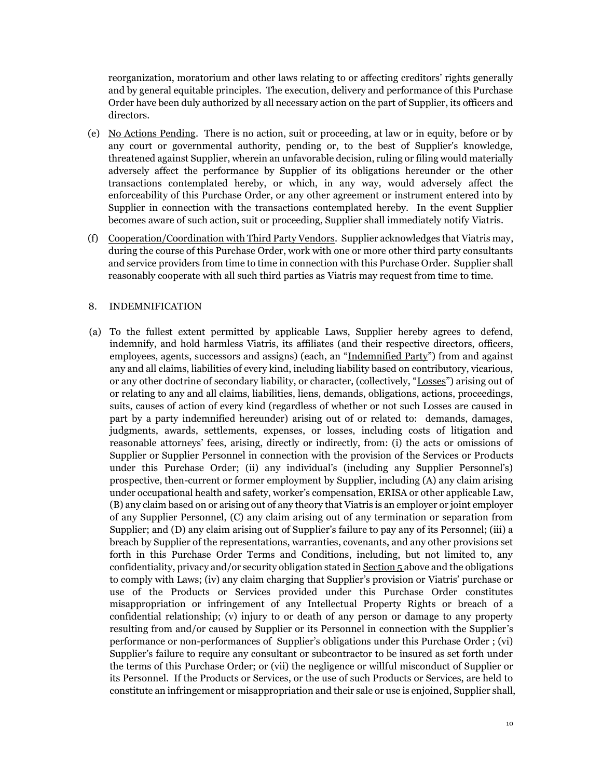reorganization, moratorium and other laws relating to or affecting creditors' rights generally and by general equitable principles. The execution, delivery and performance of this Purchase Order have been duly authorized by all necessary action on the part of Supplier, its officers and directors.

- (e) No Actions Pending. There is no action, suit or proceeding, at law or in equity, before or by any court or governmental authority, pending or, to the best of Supplier's knowledge, threatened against Supplier, wherein an unfavorable decision, ruling or filing would materially adversely affect the performance by Supplier of its obligations hereunder or the other transactions contemplated hereby, or which, in any way, would adversely affect the enforceability of this Purchase Order, or any other agreement or instrument entered into by Supplier in connection with the transactions contemplated hereby. In the event Supplier becomes aware of such action, suit or proceeding, Supplier shall immediately notify Viatris.
- (f) Cooperation/Coordination with Third Party Vendors.Supplier acknowledges that Viatris may, during the course of this Purchase Order, work with one or more other third party consultants and service providers from time to time in connection with this Purchase Order. Supplier shall reasonably cooperate with all such third parties as Viatris may request from time to time.

#### 8. INDEMNIFICATION

(a) To the fullest extent permitted by applicable Laws, Supplier hereby agrees to defend, indemnify, and hold harmless Viatris, its affiliates (and their respective directors, officers, employees, agents, successors and assigns) (each, an "Indemnified Party") from and against any and all claims, liabilities of every kind, including liability based on contributory, vicarious, or any other doctrine of secondary liability, or character, (collectively, "Losses") arising out of or relating to any and all claims, liabilities, liens, demands, obligations, actions, proceedings, suits, causes of action of every kind (regardless of whether or not such Losses are caused in part by a party indemnified hereunder) arising out of or related to: demands, damages, judgments, awards, settlements, expenses, or losses, including costs of litigation and reasonable attorneys' fees, arising, directly or indirectly, from: (i) the acts or omissions of Supplier or Supplier Personnel in connection with the provision of the Services or Products under this Purchase Order; (ii) any individual's (including any Supplier Personnel's) prospective, then-current or former employment by Supplier, including (A) any claim arising under occupational health and safety, worker's compensation, ERISA or other applicable Law, (B) any claim based on or arising out of any theory that Viatris is an employer or joint employer of any Supplier Personnel, (C) any claim arising out of any termination or separation from Supplier; and (D) any claim arising out of Supplier's failure to pay any of its Personnel; (iii) a breach by Supplier of the representations, warranties, covenants, and any other provisions set forth in this Purchase Order Terms and Conditions, including, but not limited to, any confidentiality, privacy and/or security obligation stated in  $Section 5$  above and the obligations</u> to comply with Laws; (iv) any claim charging that Supplier's provision or Viatris' purchase or use of the Products or Services provided under this Purchase Order constitutes misappropriation or infringement of any Intellectual Property Rights or breach of a confidential relationship; (v) injury to or death of any person or damage to any property resulting from and/or caused by Supplier or its Personnel in connection with the Supplier's performance or non-performances of Supplier's obligations under this Purchase Order ; (vi) Supplier's failure to require any consultant or subcontractor to be insured as set forth under the terms of this Purchase Order; or (vii) the negligence or willful misconduct of Supplier or its Personnel. If the Products or Services, or the use of such Products or Services, are held to constitute an infringement or misappropriation and their sale or use is enjoined, Supplier shall,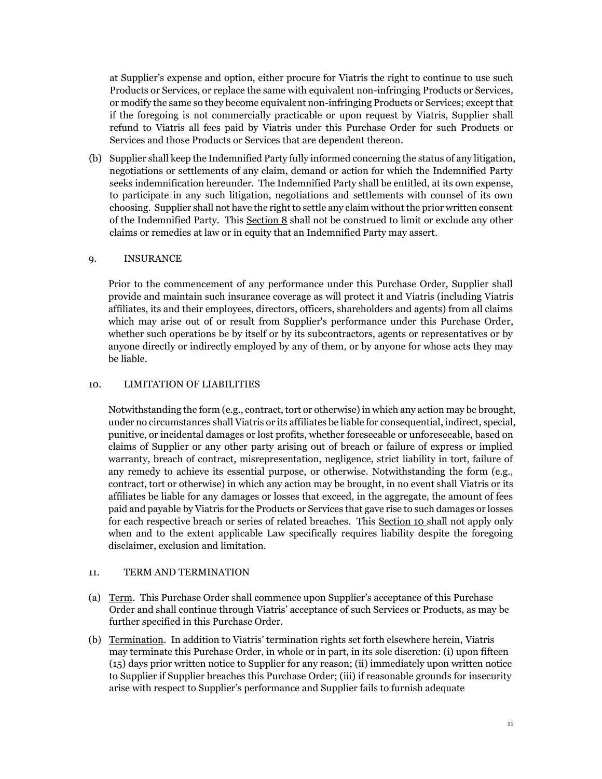at Supplier's expense and option, either procure for Viatris the right to continue to use such Products or Services, or replace the same with equivalent non-infringing Products or Services, or modify the same so they become equivalent non-infringing Products or Services; except that if the foregoing is not commercially practicable or upon request by Viatris, Supplier shall refund to Viatris all fees paid by Viatris under this Purchase Order for such Products or Services and those Products or Services that are dependent thereon.

(b) Supplier shall keep the Indemnified Party fully informed concerning the status of any litigation, negotiations or settlements of any claim, demand or action for which the Indemnified Party seeks indemnification hereunder. The Indemnified Party shall be entitled, at its own expense, to participate in any such litigation, negotiations and settlements with counsel of its own choosing. Supplier shall not have the right to settle any claim without the prior written consent of the Indemnified Party. This Section 8 shall not be construed to limit or exclude any other claims or remedies at law or in equity that an Indemnified Party may assert.

# 9. INSURANCE

Prior to the commencement of any performance under this Purchase Order, Supplier shall provide and maintain such insurance coverage as will protect it and Viatris (including Viatris affiliates, its and their employees, directors, officers, shareholders and agents) from all claims which may arise out of or result from Supplier's performance under this Purchase Order, whether such operations be by itself or by its subcontractors, agents or representatives or by anyone directly or indirectly employed by any of them, or by anyone for whose acts they may be liable.

# 10. LIMITATION OF LIABILITIES

Notwithstanding the form (e.g., contract, tort or otherwise) in which any action may be brought, under no circumstances shall Viatris or its affiliates be liable for consequential, indirect, special, punitive, or incidental damages or lost profits, whether foreseeable or unforeseeable, based on claims of Supplier or any other party arising out of breach or failure of express or implied warranty, breach of contract, misrepresentation, negligence, strict liability in tort, failure of any remedy to achieve its essential purpose, or otherwise. Notwithstanding the form (e.g., contract, tort or otherwise) in which any action may be brought, in no event shall Viatris or its affiliates be liable for any damages or losses that exceed, in the aggregate, the amount of fees paid and payable by Viatris for the Products or Services that gave rise to such damages or losses for each respective breach or series of related breaches. This Section 10 shall not apply only when and to the extent applicable Law specifically requires liability despite the foregoing disclaimer, exclusion and limitation.

# 11. TERM AND TERMINATION

- (a) Term. This Purchase Order shall commence upon Supplier's acceptance of this Purchase Order and shall continue through Viatris' acceptance of such Services or Products, as may be further specified in this Purchase Order.
- (b) Termination. In addition to Viatris' termination rights set forth elsewhere herein, Viatris may terminate this Purchase Order, in whole or in part, in its sole discretion: (i) upon fifteen (15) days prior written notice to Supplier for any reason; (ii) immediately upon written notice to Supplier if Supplier breaches this Purchase Order; (iii) if reasonable grounds for insecurity arise with respect to Supplier's performance and Supplier fails to furnish adequate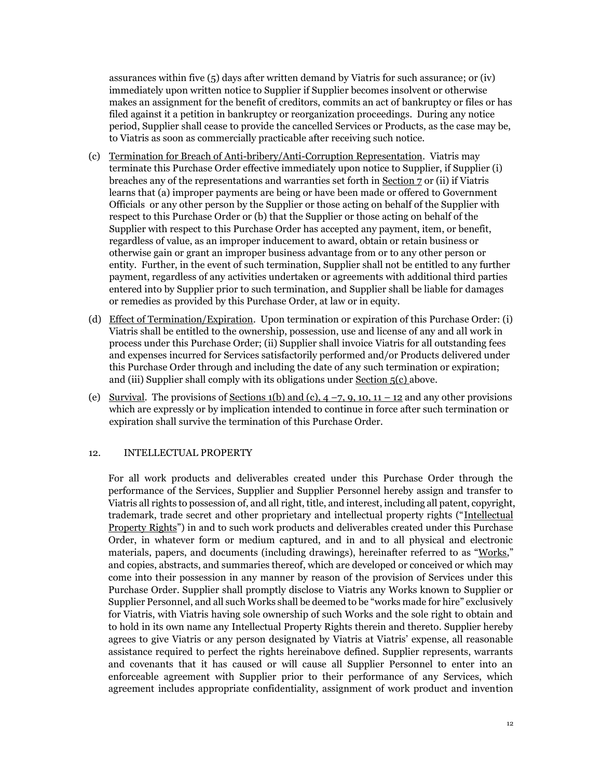assurances within five (5) days after written demand by Viatris for such assurance; or (iv) immediately upon written notice to Supplier if Supplier becomes insolvent or otherwise makes an assignment for the benefit of creditors, commits an act of bankruptcy or files or has filed against it a petition in bankruptcy or reorganization proceedings. During any notice period, Supplier shall cease to provide the cancelled Services or Products, as the case may be, to Viatris as soon as commercially practicable after receiving such notice.

- (c) Termination for Breach of Anti-bribery/Anti-Corruption Representation. Viatris may terminate this Purchase Order effective immediately upon notice to Supplier, if Supplier (i) breaches any of the representations and warranties set forth in Section 7 or (ii) if Viatris learns that (a) improper payments are being or have been made or offered to Government Officials or any other person by the Supplier or those acting on behalf of the Supplier with respect to this Purchase Order or (b) that the Supplier or those acting on behalf of the Supplier with respect to this Purchase Order has accepted any payment, item, or benefit, regardless of value, as an improper inducement to award, obtain or retain business or otherwise gain or grant an improper business advantage from or to any other person or entity. Further, in the event of such termination, Supplier shall not be entitled to any further payment, regardless of any activities undertaken or agreements with additional third parties entered into by Supplier prior to such termination, and Supplier shall be liable for damages or remedies as provided by this Purchase Order, at law or in equity.
- (d) Effect of Termination/Expiration. Upon termination or expiration of this Purchase Order: (i) Viatris shall be entitled to the ownership, possession, use and license of any and all work in process under this Purchase Order; (ii) Supplier shall invoice Viatris for all outstanding fees and expenses incurred for Services satisfactorily performed and/or Products delivered under this Purchase Order through and including the date of any such termination or expiration; and (iii) Supplier shall comply with its obligations under Section 5(c) above.
- (e) Survival. The provisions of Sections 1(b) and (c),  $4 7$ ,  $9$ ,  $10$ ,  $11 12$  and any other provisions which are expressly or by implication intended to continue in force after such termination or expiration shall survive the termination of this Purchase Order.

# 12. INTELLECTUAL PROPERTY

For all work products and deliverables created under this Purchase Order through the performance of the Services, Supplier and Supplier Personnel hereby assign and transfer to Viatris all rights to possession of, and all right, title, and interest, including all patent, copyright, trademark, trade secret and other proprietary and intellectual property rights ("Intellectual Property Rights") in and to such work products and deliverables created under this Purchase Order, in whatever form or medium captured, and in and to all physical and electronic materials, papers, and documents (including drawings), hereinafter referred to as "Works," and copies, abstracts, and summaries thereof, which are developed or conceived or which may come into their possession in any manner by reason of the provision of Services under this Purchase Order. Supplier shall promptly disclose to Viatris any Works known to Supplier or Supplier Personnel, and all such Works shall be deemed to be "works made for hire" exclusively for Viatris, with Viatris having sole ownership of such Works and the sole right to obtain and to hold in its own name any Intellectual Property Rights therein and thereto. Supplier hereby agrees to give Viatris or any person designated by Viatris at Viatris' expense, all reasonable assistance required to perfect the rights hereinabove defined. Supplier represents, warrants and covenants that it has caused or will cause all Supplier Personnel to enter into an enforceable agreement with Supplier prior to their performance of any Services, which agreement includes appropriate confidentiality, assignment of work product and invention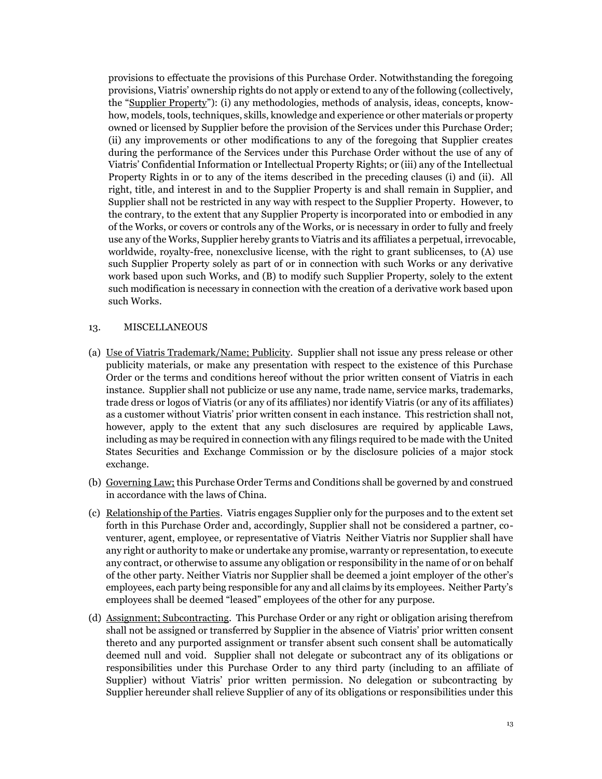provisions to effectuate the provisions of this Purchase Order. Notwithstanding the foregoing provisions, Viatris' ownership rights do not apply or extend to any of the following (collectively, the "Supplier Property"): (i) any methodologies, methods of analysis, ideas, concepts, knowhow, models, tools, techniques, skills, knowledge and experience or other materials or property owned or licensed by Supplier before the provision of the Services under this Purchase Order; (ii) any improvements or other modifications to any of the foregoing that Supplier creates during the performance of the Services under this Purchase Order without the use of any of Viatris' Confidential Information or Intellectual Property Rights; or (iii) any of the Intellectual Property Rights in or to any of the items described in the preceding clauses (i) and (ii). All right, title, and interest in and to the Supplier Property is and shall remain in Supplier, and Supplier shall not be restricted in any way with respect to the Supplier Property. However, to the contrary, to the extent that any Supplier Property is incorporated into or embodied in any of the Works, or covers or controls any of the Works, or is necessary in order to fully and freely use any of the Works, Supplier hereby grants to Viatris and its affiliates a perpetual, irrevocable, worldwide, royalty-free, nonexclusive license, with the right to grant sublicenses, to (A) use such Supplier Property solely as part of or in connection with such Works or any derivative work based upon such Works, and (B) to modify such Supplier Property, solely to the extent such modification is necessary in connection with the creation of a derivative work based upon such Works.

### 13. MISCELLANEOUS

- (a) Use of Viatris Trademark/Name; Publicity. Supplier shall not issue any press release or other publicity materials, or make any presentation with respect to the existence of this Purchase Order or the terms and conditions hereof without the prior written consent of Viatris in each instance. Supplier shall not publicize or use any name, trade name, service marks, trademarks, trade dress or logos of Viatris (or any of its affiliates) nor identify Viatris (or any of its affiliates) as a customer without Viatris' prior written consent in each instance. This restriction shall not, however, apply to the extent that any such disclosures are required by applicable Laws, including as may be required in connection with any filings required to be made with the United States Securities and Exchange Commission or by the disclosure policies of a major stock exchange.
- (b) Governing Law; this Purchase Order Terms and Conditions shall be governed by and construed in accordance with the laws of China.
- (c) Relationship of the Parties. Viatris engages Supplier only for the purposes and to the extent set forth in this Purchase Order and, accordingly, Supplier shall not be considered a partner, coventurer, agent, employee, or representative of Viatris Neither Viatris nor Supplier shall have any right or authority to make or undertake any promise, warranty or representation, to execute any contract, or otherwise to assume any obligation or responsibility in the name of or on behalf of the other party. Neither Viatris nor Supplier shall be deemed a joint employer of the other's employees, each party being responsible for any and all claims by its employees. Neither Party's employees shall be deemed "leased" employees of the other for any purpose.
- (d) Assignment; Subcontracting. This Purchase Order or any right or obligation arising therefrom shall not be assigned or transferred by Supplier in the absence of Viatris' prior written consent thereto and any purported assignment or transfer absent such consent shall be automatically deemed null and void. Supplier shall not delegate or subcontract any of its obligations or responsibilities under this Purchase Order to any third party (including to an affiliate of Supplier) without Viatris' prior written permission. No delegation or subcontracting by Supplier hereunder shall relieve Supplier of any of its obligations or responsibilities under this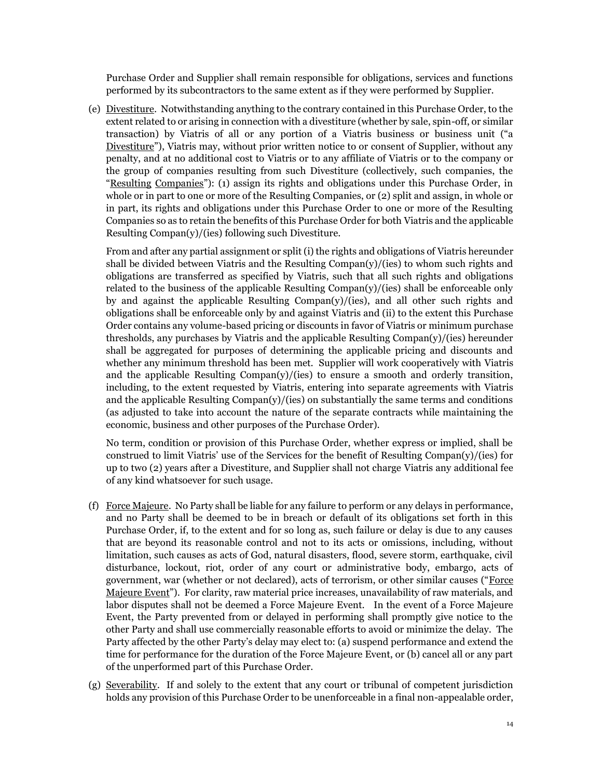Purchase Order and Supplier shall remain responsible for obligations, services and functions performed by its subcontractors to the same extent as if they were performed by Supplier.

(e) Divestiture. Notwithstanding anything to the contrary contained in this Purchase Order, to the extent related to or arising in connection with a divestiture (whether by sale, spin-off, or similar transaction) by Viatris of all or any portion of a Viatris business or business unit ("a Divestiture"), Viatris may, without prior written notice to or consent of Supplier, without any penalty, and at no additional cost to Viatris or to any affiliate of Viatris or to the company or the group of companies resulting from such Divestiture (collectively, such companies, the "Resulting Companies"): (1) assign its rights and obligations under this Purchase Order, in whole or in part to one or more of the Resulting Companies, or (2) split and assign, in whole or in part, its rights and obligations under this Purchase Order to one or more of the Resulting Companies so as to retain the benefits of this Purchase Order for both Viatris and the applicable Resulting Compan(y)/(ies) following such Divestiture.

From and after any partial assignment or split (i) the rights and obligations of Viatris hereunder shall be divided between Viatris and the Resulting  $Common(y)/(ies)$  to whom such rights and obligations are transferred as specified by Viatris, such that all such rights and obligations related to the business of the applicable Resulting  $Common(y)/(ies)$  shall be enforceable only by and against the applicable Resulting  $Common(y)/(ies)$ , and all other such rights and obligations shall be enforceable only by and against Viatris and (ii) to the extent this Purchase Order contains any volume-based pricing or discounts in favor of Viatris or minimum purchase thresholds, any purchases by Viatris and the applicable Resulting  $\text{Compan}(y)/(\text{ies})$  hereunder shall be aggregated for purposes of determining the applicable pricing and discounts and whether any minimum threshold has been met. Supplier will work cooperatively with Viatris and the applicable Resulting Compan(y)/(ies) to ensure a smooth and orderly transition, including, to the extent requested by Viatris, entering into separate agreements with Viatris and the applicable Resulting  $\text{Compan}(y)/(\text{ies})$  on substantially the same terms and conditions (as adjusted to take into account the nature of the separate contracts while maintaining the economic, business and other purposes of the Purchase Order).

No term, condition or provision of this Purchase Order, whether express or implied, shall be construed to limit Viatris' use of the Services for the benefit of Resulting Compan(y)/(ies) for up to two (2) years after a Divestiture, and Supplier shall not charge Viatris any additional fee of any kind whatsoever for such usage.

- (f) Force Majeure. No Party shall be liable for any failure to perform or any delays in performance, and no Party shall be deemed to be in breach or default of its obligations set forth in this Purchase Order, if, to the extent and for so long as, such failure or delay is due to any causes that are beyond its reasonable control and not to its acts or omissions, including, without limitation, such causes as acts of God, natural disasters, flood, severe storm, earthquake, civil disturbance, lockout, riot, order of any court or administrative body, embargo, acts of government, war (whether or not declared), acts of terrorism, or other similar causes ("Force Majeure Event"). For clarity, raw material price increases, unavailability of raw materials, and labor disputes shall not be deemed a Force Majeure Event. In the event of a Force Majeure Event, the Party prevented from or delayed in performing shall promptly give notice to the other Party and shall use commercially reasonable efforts to avoid or minimize the delay. The Party affected by the other Party's delay may elect to: (a) suspend performance and extend the time for performance for the duration of the Force Majeure Event, or (b) cancel all or any part of the unperformed part of this Purchase Order.
- (g) Severability. If and solely to the extent that any court or tribunal of competent jurisdiction holds any provision of this Purchase Order to be unenforceable in a final non-appealable order,